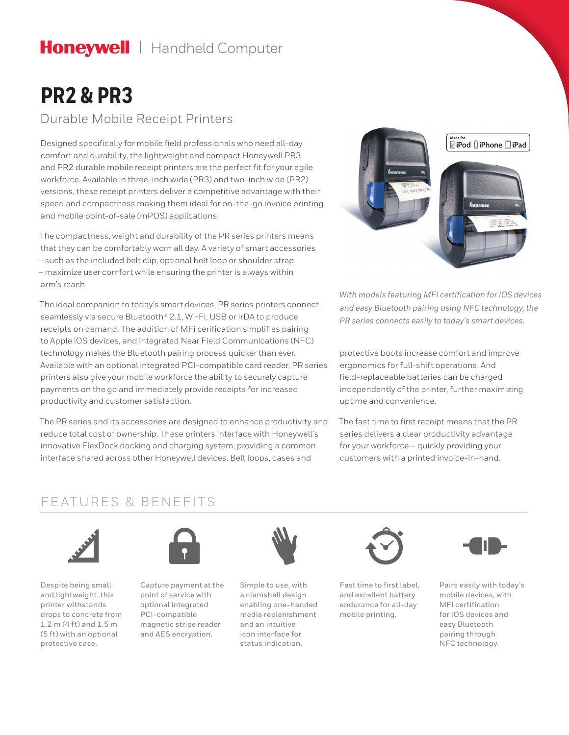# Honeywell | Handheld Computer

# **PR2 & PR3**

### Durable Mobile Receipt Printers

Designed specifically for mobile field professionals who need all-day comfort and durability, the lightweight and compact Honeywell PR3 and PR2 durable mobile receipt printers are the perfect fit for your agile workforce. Available in three-inch wide (PR3) and two-inch wide (PR2) versions, these receipt printers deliver a competitive advantage with their speed and compactness making them ideal for on-the-go invoice printing and mobile point-of-sale (mPOS) applications.

The compactness, weight and durability of the PR series printers means that they can be comfortably worn all day. A variety of smart accessories – such as the included belt clip, optional belt loop or shoulder strap – maximize user comfort while ensuring the printer is always within arm's reach.

The ideal companion to today's smart devices, PR series printers connect seamlessly via secure Bluetooth® 2.1, Wi-Fi, USB or IrDA to produce receipts on demand. The addition of MFi cerification simplifies pairing to Apple iOS devices, and integrated Near Field Communications (NFC) technology makes the Bluetooth pairing process quicker than ever. Available with an optional integrated PCI-compatible card reader, PR series printers also give your mobile workforce the ability to securely capture payments on the go and immediately provide receipts for increased productivity and customer satisfaction.

The PR series and its accessories are designed to enhance productivity and reduce total cost of ownership. These printers interface with Honeywell's innovative FlexDock docking and charging system, providing a common interface shared across other Honeywell devices. Belt loops, cases and



*With models featuring MFi certification for iOS devices and easy Bluetooth pairing using NFC technology, the PR series connects easily to today's smart devices.*

protective boots increase comfort and improve ergonomics for full-shift operations. And field-replaceable batteries can be charged independently of the printer, further maximizing uptime and convenience.

The fast time to first receipt means that the PR series delivers a clear productivity advantage for your workforce – quickly providing your customers with a printed invoice-in-hand.

### FEATURES & BENEFITS



Despite being small and lightweight, this printer withstands drops to concrete from 1.2 m (4 ft) and 1.5 m (5 ft) with an optional protective case.



Capture payment at the point of service with optional integrated PCI-compatible magnetic stripe reader and AES encryption.



Simple to use, with a clamshell design enabling one-handed media replenishment and an intuitive icon interface for status indication.



Fast time to first label, and excellent battery endurance for all-day mobile printing.



Pairs easily with today's mobile devices, with MFi certification for iOS devices and easy Bluetooth pairing through NFC technology.